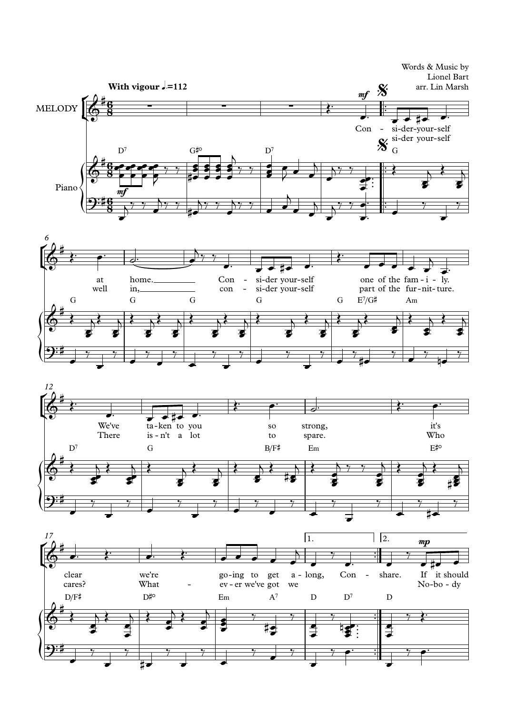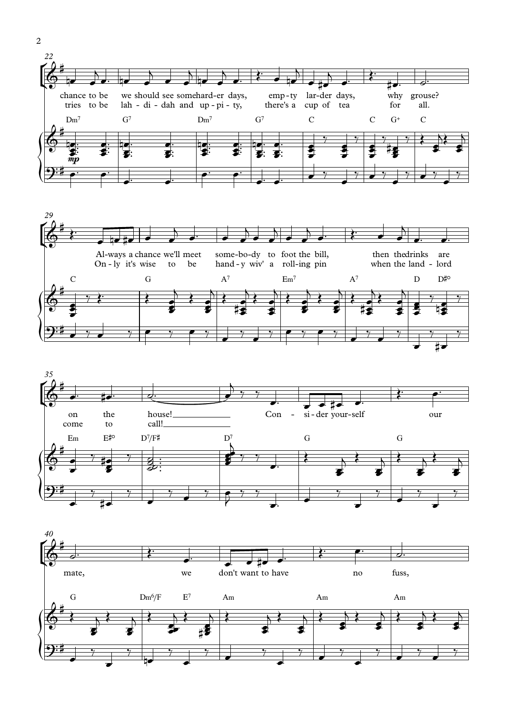







 $\overline{2}$